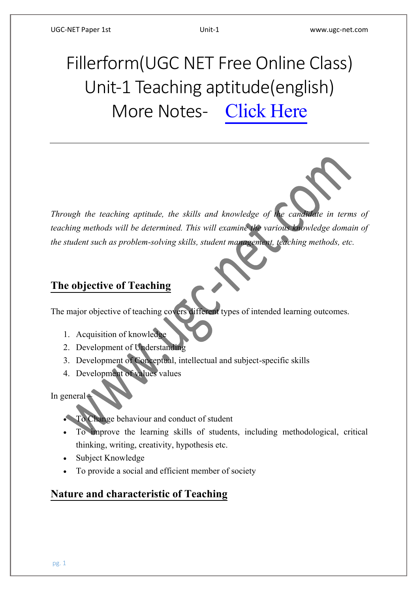# Fillerform(UGC NET Free Online Class) Unit-1 Teaching aptitude(english) More Notes- [Click Here](https://ugc-net.com/ugc-net-1st-paper-class-notes.php)

*Through the teaching aptitude, the skills and knowledge of the candidate in terms of teaching methods will be determined. This will examine the various knowledge domain of the student such as problem-solving skills, student management, teaching methods, etc.*

# **The objective of Teaching**

The major objective of teaching covers different types of intended learning outcomes.

- 1. Acquisition of knowledge
- 2. Development of Understanding
- 3. Development of Conceptual, intellectual and subject-specific skills
- 4. Development of values values

In general –

- To Change behaviour and conduct of student
- To improve the learning skills of students, including methodological, critical thinking, writing, creativity, hypothesis etc.
- Subject Knowledge
- To provide a social and efficient member of society

# **Nature and characteristic of Teaching**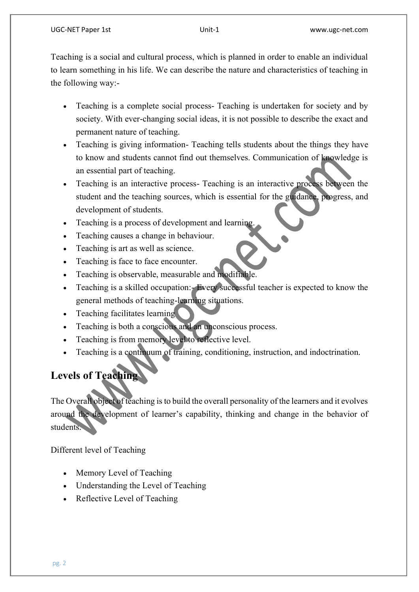Teaching is a social and cultural process, which is planned in order to enable an individual to learn something in his life. We can describe the nature and characteristics of teaching in the following way:-

- Teaching is a complete social process- Teaching is undertaken for society and by society. With ever-changing social ideas, it is not possible to describe the exact and permanent nature of teaching.
- Teaching is giving information- Teaching tells students about the things they have to know and students cannot find out themselves. Communication of knowledge is an essential part of teaching.
- Teaching is an interactive process- Teaching is an interactive process between the student and the teaching sources, which is essential for the guidance, progress, and development of students.
- Teaching is a process of development and learning.
- Teaching causes a change in behaviour.
- Teaching is art as well as science.
- Teaching is face to face encounter.
- Teaching is observable, measurable and modifiable.
- Teaching is a skilled occupation:- Every successful teacher is expected to know the general methods of teaching-learning situations.
- Teaching facilitates learning
- Teaching is both a conscious and an unconscious process.
- Teaching is from memory level to reflective level.
- Teaching is a continuum of training, conditioning, instruction, and indoctrination.

# **Levels of Teaching**

The Overall object of teaching is to build the overall personality of the learners and it evolves around the development of learner's capability, thinking and change in the behavior of students.

Different level of Teaching

- Memory Level of Teaching
- Understanding the Level of Teaching
- Reflective Level of Teaching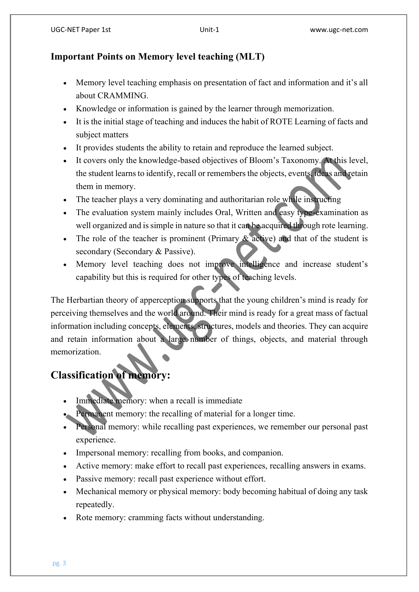### **Important Points on Memory level teaching (MLT)**

- Memory level teaching emphasis on presentation of fact and information and it's all about CRAMMING.
- Knowledge or information is gained by the learner through memorization.
- It is the initial stage of teaching and induces the habit of ROTE Learning of facts and subject matters
- It provides students the ability to retain and reproduce the learned subject.
- It covers only the knowledge-based objectives of Bloom's Taxonomy. At this level, the student learns to identify, recall or remembers the objects, events, ideas and retain them in memory.
- The teacher plays a very dominating and authoritarian role while instructing
- The evaluation system mainly includes Oral, Written and easy type-examination as well organized and is simple in nature so that it can be acquired through rote learning.
- The role of the teacher is prominent (Primary  $\&$  active) and that of the student is secondary (Secondary & Passive).
- Memory level teaching does not improve intelligence and increase student's capability but this is required for other types of teaching levels.

The Herbartian theory of apperception supports that the young children's mind is ready for perceiving themselves and the world around. Their mind is ready for a great mass of factual information including concepts, elements, structures, models and theories. They can acquire and retain information about a large number of things, objects, and material through memorization.

# **Classification of memory:**

- Immediate memory: when a recall is immediate
- Permanent memory: the recalling of material for a longer time.
- Personal memory: while recalling past experiences, we remember our personal past experience.
- Impersonal memory: recalling from books, and companion.
- Active memory: make effort to recall past experiences, recalling answers in exams.
- Passive memory: recall past experience without effort.
- Mechanical memory or physical memory: body becoming habitual of doing any task repeatedly.
- Rote memory: cramming facts without understanding.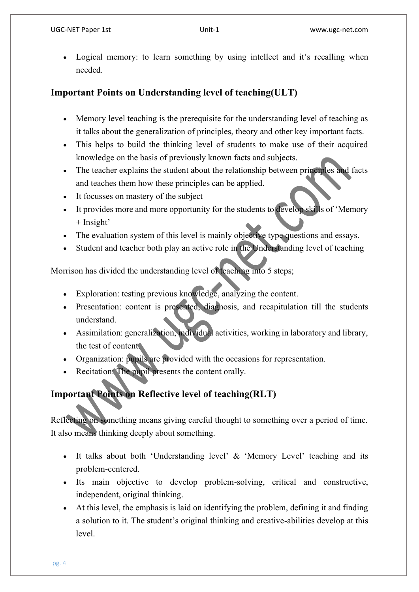Logical memory: to learn something by using intellect and it's recalling when needed.

### **Important Points on Understanding level of teaching(ULT)**

- Memory level teaching is the prerequisite for the understanding level of teaching as it talks about the generalization of principles, theory and other key important facts.
- This helps to build the thinking level of students to make use of their acquired knowledge on the basis of previously known facts and subjects.
- The teacher explains the student about the relationship between principles and facts and teaches them how these principles can be applied.
- It focusses on mastery of the subject
- It provides more and more opportunity for the students to develop skills of 'Memory + Insight'
- The evaluation system of this level is mainly objective type questions and essays.
- Student and teacher both play an active role in the Understanding level of teaching

Morrison has divided the understanding level of teaching into 5 steps;

- Exploration: testing previous knowledge, analyzing the content.
- Presentation: content is presented, diagnosis, and recapitulation till the students understand.
- Assimilation: generalization, individual activities, working in laboratory and library, the test of content.
- Organization: pupils are provided with the occasions for representation.
- Recitation: The pupil presents the content orally.

# **Important Points on Reflective level of teaching(RLT)**

Reflecting on something means giving careful thought to something over a period of time. It also means thinking deeply about something.

- It talks about both 'Understanding level' & 'Memory Level' teaching and its problem-centered.
- Its main objective to develop problem-solving, critical and constructive, independent, original thinking.
- At this level, the emphasis is laid on identifying the problem, defining it and finding a solution to it. The student's original thinking and creative-abilities develop at this level.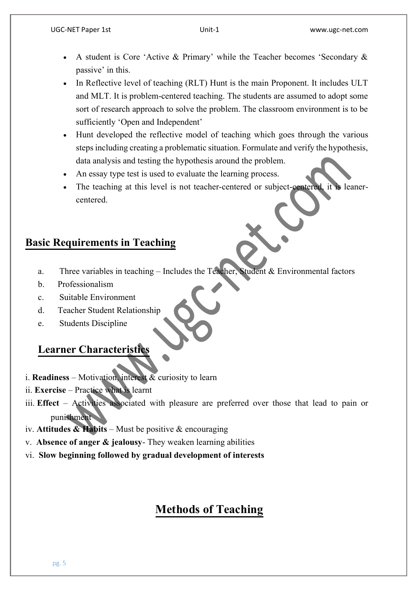- A student is Core 'Active & Primary' while the Teacher becomes 'Secondary & passive' in this.
- In Reflective level of teaching (RLT) Hunt is the main Proponent. It includes ULT and MLT. It is problem-centered teaching. The students are assumed to adopt some sort of research approach to solve the problem. The classroom environment is to be sufficiently 'Open and Independent'
- Hunt developed the reflective model of teaching which goes through the various steps including creating a problematic situation. Formulate and verify the hypothesis, data analysis and testing the hypothesis around the problem.
- An essay type test is used to evaluate the learning process.
- The teaching at this level is not teacher-centered or subject-centered, it is leanercentered.

# **Basic Requirements in Teaching**

- a. Three variables in teaching Includes the Teacher, Student & Environmental factors
- b. Professionalism
- c. Suitable Environment
- d. Teacher Student Relationship
- e. Students Discipline

### **Learner Characteristics**

- i. **Readiness** Motivation, interest & curiosity to learn
- ii. **Exercise** Practice what is learnt
- iii. **Effect**  Activities associated with pleasure are preferred over those that lead to pain or punishment
- iv. **Attitudes & Habits** Must be positive & encouraging
- v. **Absence of anger & jealousy** They weaken learning abilities
- vi. **Slow beginning followed by gradual development of interests**

# **Methods of Teaching**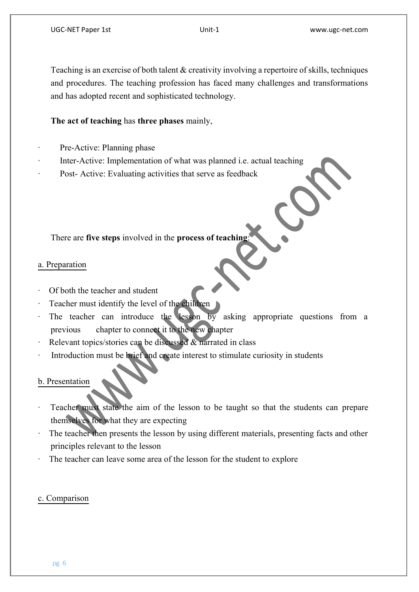Teaching is an exercise of both talent & creativity involving a repertoire of skills, techniques and procedures. The teaching profession has faced many challenges and transformations and has adopted recent and sophisticated technology.

#### **The act of teaching** has **three phases** mainly,

- Pre-Active: Planning phase
- Inter-Active: Implementation of what was planned i.e. actual teaching
- Post- Active: Evaluating activities that serve as feedback

There are **five steps** involved in the **process of teaching**:

#### a. Preparation

- · Of both the teacher and student
- Teacher must identify the level of the children
- The teacher can introduce the lesson by asking appropriate questions from a previous chapter to connect it to the new chapter
- Relevant topics/stories can be discussed & narrated in class
- Introduction must be brief and create interest to stimulate curiosity in students

#### b. Presentation

- Teacher must state the aim of the lesson to be taught so that the students can prepare themselves for what they are expecting
- The teacher then presents the lesson by using different materials, presenting facts and other principles relevant to the lesson
- The teacher can leave some area of the lesson for the student to explore

#### c. Comparison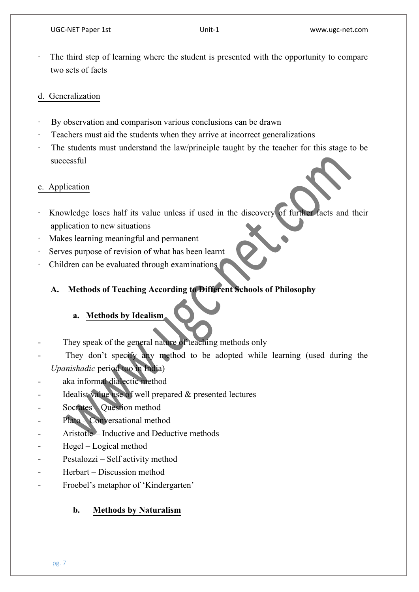The third step of learning where the student is presented with the opportunity to compare two sets of facts

#### d. Generalization

- By observation and comparison various conclusions can be drawn
- Teachers must aid the students when they arrive at incorrect generalizations
- The students must understand the law/principle taught by the teacher for this stage to be successful

#### e. Application

- Knowledge loses half its value unless if used in the discovery of further facts and their application to new situations
- Makes learning meaningful and permanent
- Serves purpose of revision of what has been learnt
- Children can be evaluated through examinations

# **A. Methods of Teaching According to Different Schools of Philosophy**

#### **a. Methods by Idealism**

- They speak of the general nature of teaching methods only
- They don't specify any method to be adopted while learning (used during the *Upanishadic* period too in India)
- aka informal dialectic method
- Idealist value use of well prepared  $\&$  presented lectures
- Socrates Question method
- Plato Conversational method
- Aristotle Inductive and Deductive methods
- Hegel Logical method
- Pestalozzi Self activity method
- Herbart Discussion method
- Froebel's metaphor of 'Kindergarten'

#### **b. Methods by Naturalism**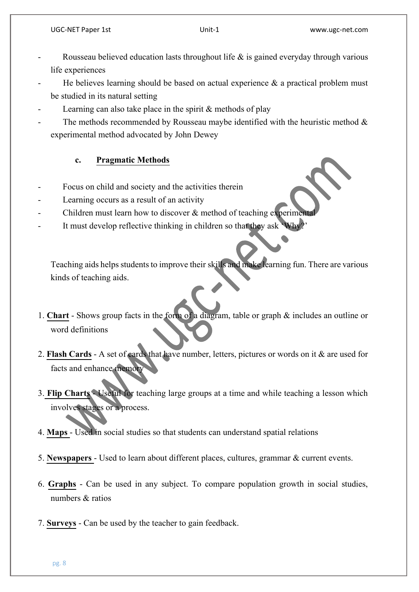- Rousseau believed education lasts throughout life  $\&$  is gained everyday through various life experiences
- He believes learning should be based on actual experience  $\&$  a practical problem must be studied in its natural setting
- Learning can also take place in the spirit  $&$  methods of play
- The methods recommended by Rousseau maybe identified with the heuristic method  $\&$ experimental method advocated by John Dewey

#### **c. Pragmatic Methods**

- Focus on child and society and the activities therein
- Learning occurs as a result of an activity
- Children must learn how to discover  $\&$  method of teaching experimental
- It must develop reflective thinking in children so that they ask 'Wh

Teaching aids helps students to improve their skills and make learning fun. There are various kinds of teaching aids.

- 1. **Chart** Shows group facts in the form of a diagram, table or graph & includes an outline or word definitions
- 2. **Flash Cards** A set of cards that have number, letters, pictures or words on it & are used for facts and enhance memory
- 3. **Flip Charts** Useful for teaching large groups at a time and while teaching a lesson which involves stages or a process.
- 4. **Maps**  Used in social studies so that students can understand spatial relations
- 5. **Newspapers**  Used to learn about different places, cultures, grammar & current events.
- 6. **Graphs** Can be used in any subject. To compare population growth in social studies, numbers & ratios
- 7. **Surveys** Can be used by the teacher to gain feedback.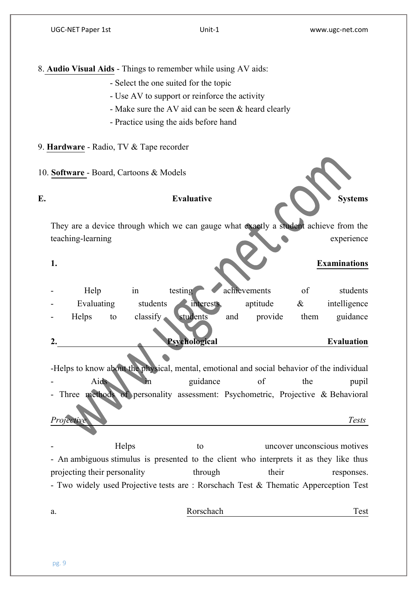8. **Audio Visual Aids** - Things to remember while using AV aids:

- Select the one suited for the topic
- Use AV to support or reinforce the activity
- Make sure the AV aid can be seen & heard clearly
- Practice using the aids before hand

9. **Hardware** - Radio, TV & Tape recorder

10. **Software** - Board, Cartoons & Models

Evaluative Systems

They are a device through which we can gauge what exactly a student achieve from the teaching-learning experience

#### **1. Examinations**

| 2. |            |    |          | Psychological         |     |              |      | <b>Evaluation</b> |
|----|------------|----|----------|-----------------------|-----|--------------|------|-------------------|
|    | Helps      | to | classify | students              | and | provide      | them | guidance          |
|    | Evaluating |    | students | $\cdot$<br>interests. |     | aptitude     | $\&$ | intelligence      |
|    | Help       |    | 1n       | testing               |     | achievements | of   | students          |

-Helps to know about the physical, mental, emotional and social behavior of the individual - Aids in guidance of the pupil Three methods of personality assessment: Psychometric, Projective & Behavioral *Projective Tests*

Helps to uncover unconscious motives - An ambiguous stimulus is presented to the client who interprets it as they like thus projecting their personality through their responses. - Two widely used Projective tests are : Rorschach Test & Thematic Apperception Test

# a. Rorschach Test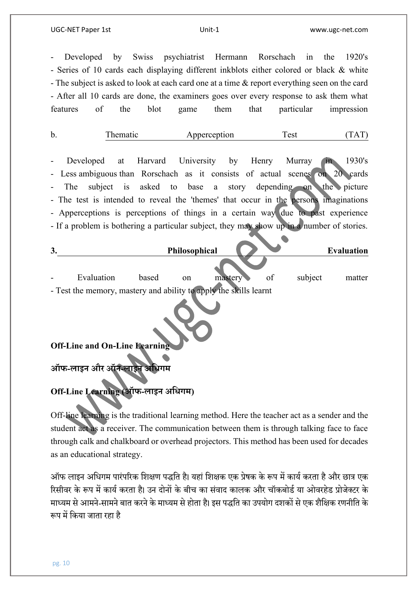#### UGC-NET Paper 1st Unit-1 www.ugc-net.com

Developed by Swiss psychiatrist Hermann Rorschach in the 1920's - Series of 10 cards each displaying different inkblots either colored or black & white - The subject is asked to look at each card one at a time & report everything seen on the card - After all 10 cards are done, the examiners goes over every response to ask them what features of the blot game them that particular impression

| b. | Thematic | Apperception | Test | (TAT) |
|----|----------|--------------|------|-------|
|    |          |              |      |       |

- Developed at Harvard University by Henry Murray in 1930's - Less ambiguous than Rorschach as it consists of actual scenes on 20 cards The subject is asked to base a story depending on the picture - The test is intended to reveal the 'themes' that occur in the persons imaginations - Apperceptions is perceptions of things in a certain way due to past experience - If a problem is bothering a particular subject, they may show up in a number of stories.

| 3. |                                                                   |       | Philosophical |         |    |         | <b>Evaluation</b> |
|----|-------------------------------------------------------------------|-------|---------------|---------|----|---------|-------------------|
|    | Evaluation                                                        | based | on            | mastery | οf | subject | matter            |
|    | - Test the memory, mastery and ability to apply the skills learnt |       |               |         |    |         |                   |

#### **Off-Line and On-Line Learning**

**ऑफ-लाइन और ऑन-लाइन अधिगम**

# **Off-Line Learning (ऑफ-लाइन अधिगम)**

Off-line learning is the traditional learning method. Here the teacher act as a sender and the student act as a receiver. The communication between them is through talking face to face through calk and chalkboard or overhead projectors. This method has been used for decades as an educational strategy.

ऑफ लाइन अधिगम पारंपरिक शिक्षण पद्धति है। यहां शिक्षक एक प्रेषक के रूप में कार्य करता है और छात्र एक रिसीवर के रूप में कार्य करता है। उन दोनों के बीच का संवाद कालक और चॉकबोर्ड या ओवरहेड प्रोजेक्टर के माध्यम से आमने-सामने बात करने के माध्यम से होता है। इस पद्धति का उपयोग दशकों से एक शैक्षिक रणनीति के रूप में किया जाता रहा है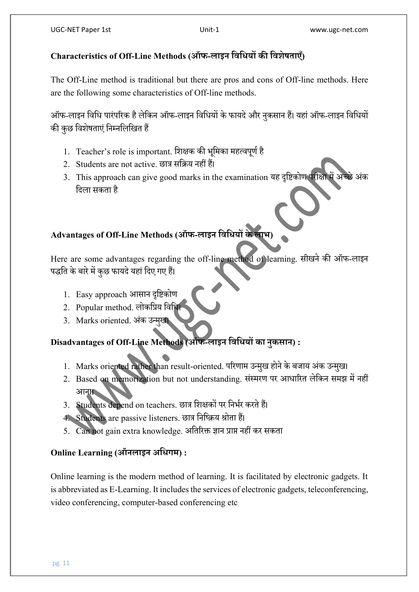# **Characteristics of Off-Line Methods (ऑफ-लाइन धिधियों की धिशेषताएँ)**

The Off-Line method is traditional but there are pros and cons of Off-line methods. Here are the following some characteristics of Off-line methods.

ऑफ-लाइन विधि पारंपरिक है लेकिन ऑफ-लाइन विधियों के फायदे और नुकसान हैं। यहां ऑफ-लाइन विधियों की कुछ विशेषताएं निम्नलिखित हैं

- 1. Teacher's role is important. शिक्षक की भूमिका महत्वपूर्ण है
- 2. Students are not active. छात्र सधिय नहीं हैं।
- 3. This approach can give good marks in the examination यह दृष्टिकोण परीक्षा में अच्छे अंक धदला सकिा है

# **Advantages of Off-Line Methods (ऑफ-लाइन धिधियों के लाभ)**

Here are some advantages regarding the off-line method of learning. सीिने की ऑफ-लाइन पद्धति के बारे में कुछ फायदे यहां दिए गए हैं।

- 1. Easy approach आसान दृधिकोण
- 2. Popular method. लोकप्रिय विधि
- 3. Marks oriented. अकं उन्मिु ।

# **Disadvantages of Off-Line Methods (ऑफ-लाइन धिधियों का नुकसान) :**

- 1. Marks oriented rather than result-oriented. परिणाम उन्मुख होने के बजाय अंक उन्मुख।
- 2. Based on memorization but not understanding. संस्मरण पर आधारित लेकिन समझ में नहीं आना।
- 3. Students depend on teachers. छात्र शिक्षकों पर निर्भर करते हैं।
- 4. Students are passive listeners. छात्र निष्क्रिय श्रोता हैं।
- 5. Can not gain extra knowledge. अतिरिक्त ज्ञान प्राप्त नहीं कर सकता

# **Online Learning (ऑनलाइन अधिगम) :**

Online learning is the modern method of learning. It is facilitated by electronic gadgets. It is abbreviated as E-Learning. It includes the services of electronic gadgets, teleconferencing, video conferencing, computer-based conferencing etc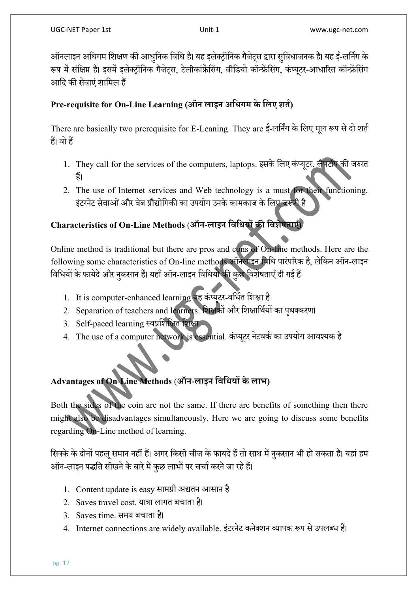ऑनलाइन अधिगम शिक्षण की आधुनिक विधि है। यह इलेक्ट्रॉनिक गैजेट्स द्वारा सुविधाजनक है। यह ई-लर्निंग के रूप में संक्षिप्त है। इसमें इलेक्ट्रॉनिक गैजेटस, टेलीकांफ्रेंसिंग, वीडियो कॉन्फ्रेंसिंग, कंप्यूटर-आधारित कॉन्फ्रेंसिंग आदि की सेवाएं शामिल हैं

### **Pre-requisite for On-Line Learning (ऑन लाइन अधिगम के धलए शतत)**

There are basically two prerequisite for E-Leaning. They are ई-लर्निंग के लिए मूल रूप से दो शर्त हैं। वो हैं

- 1. They call for the services of the computers, laptops. इसके लिए कंप्यूटर, लैपटॉप की जरुरत हैं।
- 2. The use of Internet services and Web technology is a must for their functioning. इंटरनेट सेवाओं और वेब प्रौद्योगिकी का उपयोग उनके कामकाज के लिए जरूरी है

# **Characteristics of On-Line Methods** (**ऑन-लाइन धिधियों की धिशेषताएँ)**

Online method is traditional but there are pros and cons of On-line methods. Here are the following some characteristics of On-line methods ऑनलाइन विधि पारंपरिक है. लेकिन ऑन-लाइन विधियों के फायेदे और नकसान हैं। यहाँ ऑन-लाइन विधियों की कछ विशेषताएँ दी गई हैं

- 1. It is computer-enhanced learning यह कंप्यूटर-वर्धित शिक्षा है
- 2. Separation of teachers and learners. शिक्षकों और शिक्षार्थियों का पृथक्करण।
- 3. Self-paced learning स्वप्रशिक्षित शिक्षा
- 4. The use of a computer network is essential. कंप्यूटर नेटवर्क का उपयोग आवश्यक है

# **Advantages of On-Line Methods** (**ऑन-लाइन धिधियों के लाभ)**

Both the sides of the coin are not the same. If there are benefits of something then there might also be disadvantages simultaneously. Here we are going to discuss some benefits regarding On-Line method of learning.

सिक्के के दोनों पहलू समान नहीं हैं। अगर किसी चीज के फायदे हैं तो साथ में नुकसान भी हो सकता है। यहां हम ऑन-लाइन पद्धति सीखने के बारे में कुछ लाभों पर चर्चा करने जा रहे हैं।

- 1. Content update is easy सामग्री अद्यिन आसान है
- 2. Saves travel cost. यात्रा लागत बचाता है।
- 3. Saves time. समय बचाता है।
- 4. Internet connections are widely available. इंटरनेट कनेक्शन व्यापक रूप से उपलब्ध हैं।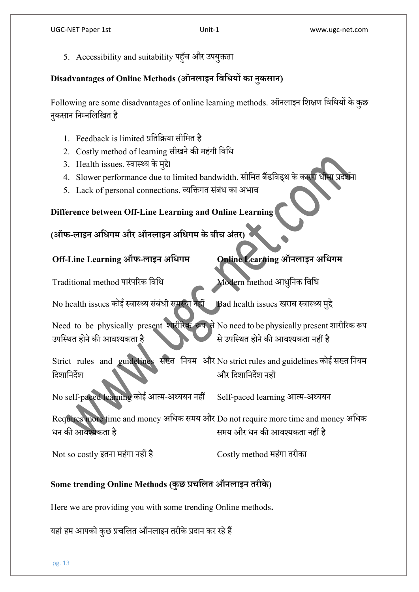5. Accessibility and suitability पहुँच और उपयुक्तता

#### **Disadvantages of Online Methods (ऑनलाइन धिधियों का नुकसान)**

Following are some disadvantages of online learning methods. ऑनलाइनधिक्षण धवधियों केकुछ नुकसान निम्नलिखित हैं

- 1. Feedback is limited प्रतिक्रिया सीमित है
- 2. Costly method of learning सीखने की महंगी विधि
- 3. Health issues. स्वास्थ्य के मुद्दे।
- 4. Slower performance due to limited bandwidth. सीमित बैंडविड्थ के कारण धीमा प्रदर्शन।
- 5. Lack of personal connections. व्यक्तिगत संबंध का अभाव

# **Difference between Off-Line Learning and Online Learning**

# **(ऑफ-लाइन अधिगम और ऑनलाइन अधिगम केबीच अंतर)**

# **Off-Line Learning ऑफ-लाइन अधिगम Online Learning ऑनलाइन अधिगम**

Traditional method पारंपरिक विधि Modern method आधुनिक विधि

No health issues कोई स्वास्थ्य संबंधी समस्या नहीं Bad health issues खराब स्वास्थ्य मुद्दे

Need to be physically present शारीरिक रूप से No need to be physically present शारीरिक रूप उपस्थित होने की आवश्यकता है से उपस्थित होने की आवश्यकता नहीं है

Strict rules and guidelines सख्त नियम और No strict rules and guidelines कोई सख्त नियम दिशानिर्देश ओर दिशानिर्देश नहीं

No self-paced learning कोई आत्म-अध्ययन नहीं Self-paced learning आत्म-अध्ययन

Requires more time and money अधिक समय और Do not require more time and money अधिक धन की आवश्यकता है समय और धन की आवश्यकता नहीं है

Not so costly इतना महंगा नहीं है  $\qquad \qquad \text{Costly method}$  महंगा तरीका

# **Some trending Online Methods (कुछ प्रचधलत ऑनलाइन तरीके)**

Here we are providing you with some trending Online methods**.**

यहां हम आपको कुछ प्रचलित ऑनलाइन तरीके प्रदान कर रहे हैं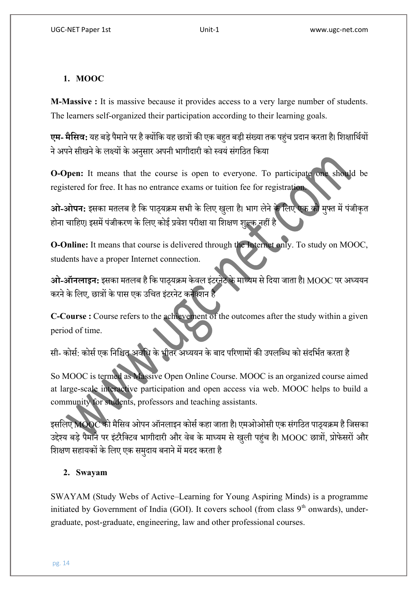#### **1. MOOC**

**M-Massive :** It is massive because it provides access to a very large number of students. The learners self-organized their participation according to their learning goals.

**एम- मैसिव:** यह बड़े पैमाने पर है क्योंकि यह छात्रों की एक बहत बड़ी संख्या तक पहंच प्रदान करता है। शिक्षार्थियों ने अपने सीखने के लक्ष्यों के अनसार अपनी भागीदारी को स्वयं संगठित किया

**O-Open:** It means that the course is open to everyone. To participate one should be registered for free. It has no entrance exams or tuition fee for registration.

<mark>ओ-ओपन:</mark> इसका मतलब है कि पाठ्यक्रम सभी के लिए खुला है। भाग लेने के लिए एक को मुफ्त में पंजीकृत होना चाहिए। इसमें पंजीकरण के लिए कोई प्रवेश परीक्षा या शिक्षण शल्क नहीं है

**O-Online:** It means that course is delivered through the Internet only. To study on MOOC, students have a proper Internet connection.

<mark>ओ-ऑनलाइन:</mark> इसका मतलब है कि पाठयक्रम केवल इंटरनेट के माध्यम से दिया जाता है। MOOC पर अध्ययन करने के लिए, छात्रों के पास एक उचित इंटरनेट कनेक्शन है

**C-Course :** Course refers to the achievement of the outcomes after the study within a given period of time.

सी- कोर्स: कोर्स एक निश्चित अवधि के भीतर अध्ययन के बाद परिणामों की उपलब्धि को संदर्भित करता है

So MOOC is termed as Massive Open Online Course. MOOC is an organized course aimed at large-scale interactive participation and open access via web. MOOC helps to build a community for students, professors and teaching assistants.

इसलिए MOOC को मैसिव ओपन ऑनलाइन कोर्स कहा जाता है। एमओओसी एक संगठित पाठयक्रम है जिसका उद्देश्य बड़े पैमाने पर इंटरैक्टिव भागीदारी और वेब के माध्यम से खली पहुंच है। MOOC छात्रों, प्रोफेसरों और शिक्षण सहायकों के लिए एक समदाय बनाने में मदद करता है

#### **2. Swayam**

SWAYAM (Study Webs of Active–Learning for Young Aspiring Minds) is a programme initiated by Government of India (GOI). It covers school (from class  $9<sup>th</sup>$  onwards), undergraduate, post-graduate, engineering, law and other professional courses.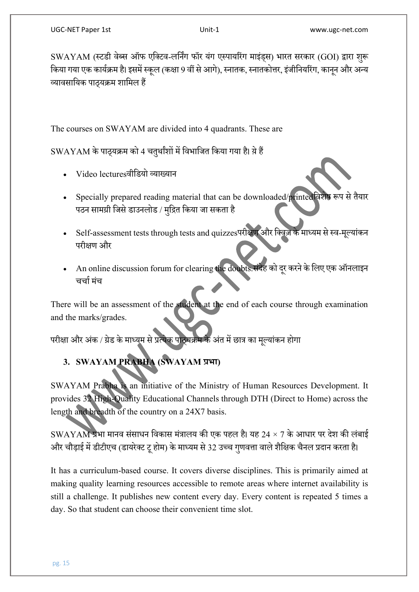SWAYAM (स्टडी वेब्स ऑफ एक्टिव-लर्निंग फॉर यंग एस्पायरिंग माइंड्स) भारत सरकार (GOI) द्वारा शुरू किया गया एक कार्यक्रम है। इसमें स्कूल (कक्षा 9 वीं से आगे), स्नातक, स्नातकोत्तर, इंजीनियरिंग, कानुन और अन्य व्यावसायिक पाठयक्रम शामिल हैं

The courses on SWAYAM are divided into 4 quadrants. These are

 $SWAYAM$  के पाठ्यक्रम को 4 चत्थांशों में विभाजित किया गया है। ये हैं

- Video lecturesवीधर्यो व्याख्यान
- Specially prepared reading material that can be downloaded/printed विशेष रूप से तैयार पठन सामग्री जिसे डाउनलोड / मुद्रित किया जा सकता है
- Self-assessment tests through tests and quizzesपरीक्षण और क्विज़ के माध्यम से स्व-मल्यांकन परीक्षण और
- An online discussion forum for clearing the doubts.संदेह को दूर करने के लिए एक ऑनलाइन चर्चा मंच

There will be an assessment of the student at the end of each course through examination and the marks/grades.

परीक्षा और अंक / ग्रेड के माध्यम से प्रत्येक पाठ्यक्रम के अंत में छात्र का मूल्यांकन होगा

# **3. SWAYAM PRABHA (SWAYAM प्रभा)**

SWAYAM Prabha is an initiative of the Ministry of Human Resources Development. It provides 32 High-Quality Educational Channels through DTH (Direct to Home) across the length and breadth of the country on a 24X7 basis.

 $\,$  SWAYAM प्रभा मानव संसाधन विकास मंत्रालय की एक पहल है। यह 24  $\times$  7 के आधार पर देश की लंबाई ओर चौड़ाई में डीटीएच (डायरेक्ट टू होम) के माध्यम से 32 उच्च गुणवत्ता वाले शैक्षिक चैनल प्रदान करता है।

It has a curriculum-based course. It covers diverse disciplines. This is primarily aimed at making quality learning resources accessible to remote areas where internet availability is still a challenge. It publishes new content every day. Every content is repeated 5 times a day. So that student can choose their convenient time slot.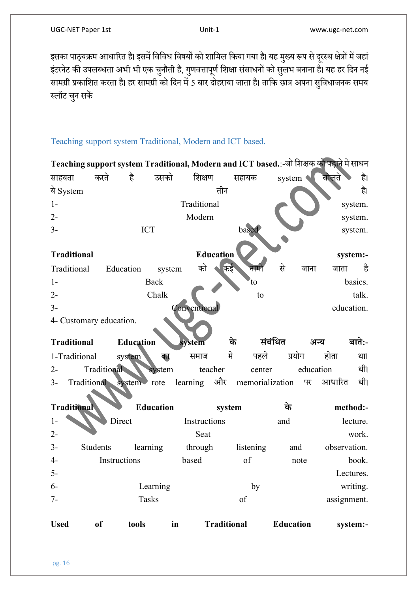इसका पाठ्यक्रम आधारित है। इसमें विविध विषयों को शामिल किया गया है। यह मुख्य रूप से दूरस्थ क्षेत्रों में जहां इंटरनेट की उपलब्धता अभी भी एक चुनौती है, गुणवत्तापूर्ण शिक्षा संसाधनों को सुलभ बनाना है। यह हर दिन नई सामग्री प्रकाशित करता है। हर सामग्री को दिन में 5 बार दोहराया जाता है। ताकि छात्र अपना सुविधाजनक समय स्लॉट चनु सकें

#### Teaching support system Traditional, Modern and ICT based.

| Teaching support system Traditional, Modern and ICT based.:-जो शिक्षक को पढ़ाने मे साधन |               |                         |                  |                                |                    |           |                  |           |              |          |  |
|-----------------------------------------------------------------------------------------|---------------|-------------------------|------------------|--------------------------------|--------------------|-----------|------------------|-----------|--------------|----------|--|
| साहयता                                                                                  | करते          | है                      | उसको             | शिक्षण                         |                    | सहायक     | system           |           | बोलते        | है।      |  |
| ये System                                                                               |               |                         |                  |                                | तीन                |           |                  |           |              | है।      |  |
| $1-$                                                                                    |               |                         |                  | Traditional                    |                    |           |                  |           |              | system.  |  |
| $2 -$                                                                                   |               |                         |                  | Modern                         |                    |           |                  |           |              | system.  |  |
| $3-$                                                                                    |               |                         | <b>ICT</b>       |                                | based              |           |                  |           | system.      |          |  |
|                                                                                         |               |                         |                  |                                |                    |           |                  |           |              |          |  |
| <b>Education</b><br><b>Traditional</b><br>system:-                                      |               |                         |                  |                                |                    |           |                  |           |              |          |  |
| Traditional                                                                             |               | Education               | system           | को                             | कई                 | नाम       | से               | जाना      | जाता         | है       |  |
| $1-$                                                                                    |               |                         | Back             |                                |                    | to        |                  |           |              | basics.  |  |
| $2 -$                                                                                   |               |                         | Chalk            |                                |                    | to        |                  |           |              | talk.    |  |
| $3-$                                                                                    |               |                         |                  | Conventional                   |                    |           |                  |           | education.   |          |  |
| 4- Customary education.                                                                 |               |                         |                  |                                |                    |           |                  |           |              |          |  |
|                                                                                         |               |                         |                  |                                |                    |           |                  |           |              |          |  |
| <b>Traditional</b>                                                                      |               | <b>Education</b>        |                  | system                         | के                 |           | संबंधित          | अन्य      |              | बाते:-   |  |
| 1-Traditional                                                                           |               | system                  | का               | समाज                           | मे                 | पहले      | प्रयोग           |           | होता         | था।      |  |
| $2 -$                                                                                   | Traditional   |                         | system           |                                | teacher            | center    |                  | education |              | थी।      |  |
| $3-$                                                                                    |               | Traditional system rote |                  | learning और memorialization पर |                    |           |                  |           | आधारित       | थी।      |  |
|                                                                                         |               |                         |                  |                                |                    |           |                  |           |              |          |  |
| Traditional                                                                             |               |                         | <b>Education</b> |                                | system             |           | के               |           | method:-     |          |  |
| $1 -$                                                                                   |               | Direct                  |                  | Instructions                   |                    |           | and              |           |              | lecture. |  |
| $2 -$                                                                                   |               |                         |                  | Seat                           |                    |           |                  |           |              | work.    |  |
| $3-$                                                                                    | Students      |                         | learning         | through                        |                    | listening | and              |           | observation. |          |  |
| $4-$                                                                                    |               | Instructions            |                  | based                          |                    | of        |                  | note      |              | book.    |  |
| $5-$                                                                                    |               |                         |                  |                                |                    |           |                  |           | Lectures.    |          |  |
| $6-$                                                                                    | Learning      |                         |                  |                                | by                 |           |                  |           | writing.     |          |  |
| $7 -$                                                                                   | <b>Tasks</b>  |                         |                  |                                |                    | of        |                  |           | assignment.  |          |  |
| <b>Used</b>                                                                             | <sub>of</sub> | tools                   |                  | in                             | <b>Traditional</b> |           | <b>Education</b> |           |              | system:- |  |